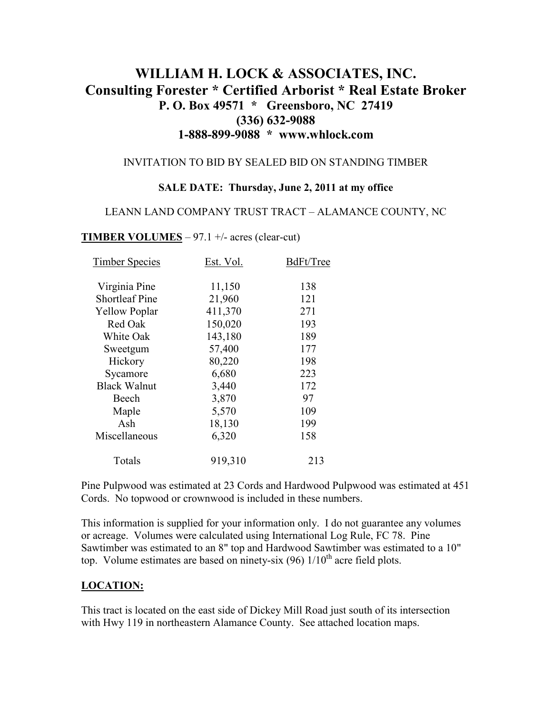# **WILLIAM H. LOCK & ASSOCIATES, INC. Consulting Forester \* Certified Arborist \* Real Estate Broker P. O. Box 49571 \* Greensboro, NC 27419 (336) 632-9088 1-888-899-9088 \* www.whlock.com**

#### INVITATION TO BID BY SEALED BID ON STANDING TIMBER

#### **SALE DATE: Thursday, June 2, 2011 at my office**

#### LEANN LAND COMPANY TRUST TRACT – ALAMANCE COUNTY, NC

#### **TIMBER VOLUMES** – 97.1  $+/-$  acres (clear-cut)

| <b>Timber Species</b> | Est. Vol. | BdFt/Tree |
|-----------------------|-----------|-----------|
|                       |           | 138       |
| Virginia Pine         | 11,150    |           |
| <b>Shortleaf Pine</b> | 21,960    | 121       |
| <b>Yellow Poplar</b>  | 411,370   | 271       |
| Red Oak               | 150,020   | 193       |
| White Oak             | 143,180   | 189       |
| Sweetgum              | 57,400    | 177       |
| Hickory               | 80,220    | 198       |
| Sycamore              | 6,680     | 223       |
| <b>Black Walnut</b>   | 3,440     | 172       |
| Beech                 | 3,870     | 97        |
| Maple                 | 5,570     | 109       |
| Ash                   | 18,130    | 199       |
| Miscellaneous         | 6,320     | 158       |
| Totals                | 919,310   | 213       |

Pine Pulpwood was estimated at 23 Cords and Hardwood Pulpwood was estimated at 451 Cords. No topwood or crownwood is included in these numbers.

This information is supplied for your information only. I do not guarantee any volumes or acreage. Volumes were calculated using International Log Rule, FC 78. Pine Sawtimber was estimated to an 8" top and Hardwood Sawtimber was estimated to a 10" top. Volume estimates are based on ninety-six  $(96)$  1/10<sup>th</sup> acre field plots.

### **LOCATION:**

This tract is located on the east side of Dickey Mill Road just south of its intersection with Hwy 119 in northeastern Alamance County. See attached location maps.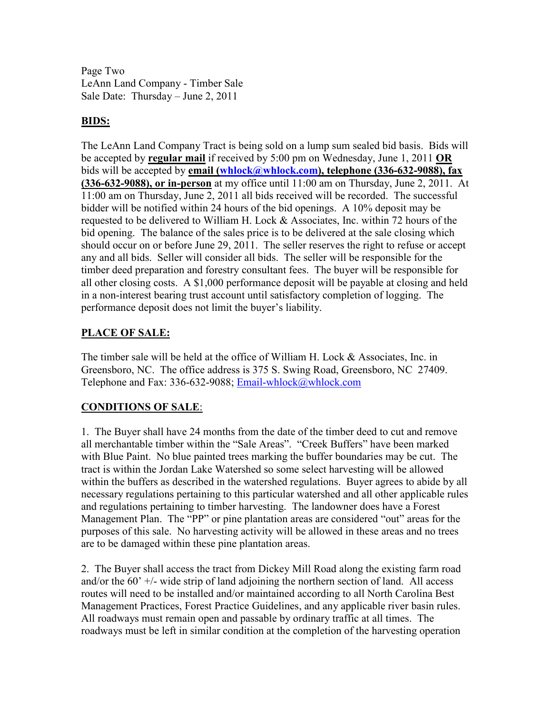Page Two LeAnn Land Company - Timber Sale Sale Date: Thursday – June 2, 2011

### **BIDS:**

The LeAnn Land Company Tract is being sold on a lump sum sealed bid basis. Bids will be accepted by **regular mail** if received by 5:00 pm on Wednesday, June 1, 2011 **OR** bids will be accepted by **email (whlock@whlock.com), telephone (336-632-9088), fax (336-632-9088), or in-person** at my office until 11:00 am on Thursday, June 2, 2011. At 11:00 am on Thursday, June 2, 2011 all bids received will be recorded. The successful bidder will be notified within 24 hours of the bid openings. A 10% deposit may be requested to be delivered to William H. Lock  $&$  Associates, Inc. within 72 hours of the bid opening. The balance of the sales price is to be delivered at the sale closing which should occur on or before June 29, 2011. The seller reserves the right to refuse or accept any and all bids. Seller will consider all bids. The seller will be responsible for the timber deed preparation and forestry consultant fees. The buyer will be responsible for all other closing costs. A \$1,000 performance deposit will be payable at closing and held in a non-interest bearing trust account until satisfactory completion of logging. The performance deposit does not limit the buyer's liability.

### **PLACE OF SALE:**

The timber sale will be held at the office of William H. Lock & Associates, Inc. in Greensboro, NC. The office address is 375 S. Swing Road, Greensboro, NC 27409. Telephone and Fax: 336-632-9088; Email-whlock@whlock.com

## **CONDITIONS OF SALE**:

1. The Buyer shall have 24 months from the date of the timber deed to cut and remove all merchantable timber within the "Sale Areas". "Creek Buffers" have been marked with Blue Paint. No blue painted trees marking the buffer boundaries may be cut. The tract is within the Jordan Lake Watershed so some select harvesting will be allowed within the buffers as described in the watershed regulations. Buyer agrees to abide by all necessary regulations pertaining to this particular watershed and all other applicable rules and regulations pertaining to timber harvesting. The landowner does have a Forest Management Plan. The "PP" or pine plantation areas are considered "out" areas for the purposes of this sale. No harvesting activity will be allowed in these areas and no trees are to be damaged within these pine plantation areas.

2. The Buyer shall access the tract from Dickey Mill Road along the existing farm road and/or the  $60'$  +/- wide strip of land adjoining the northern section of land. All access routes will need to be installed and/or maintained according to all North Carolina Best Management Practices, Forest Practice Guidelines, and any applicable river basin rules. All roadways must remain open and passable by ordinary traffic at all times. The roadways must be left in similar condition at the completion of the harvesting operation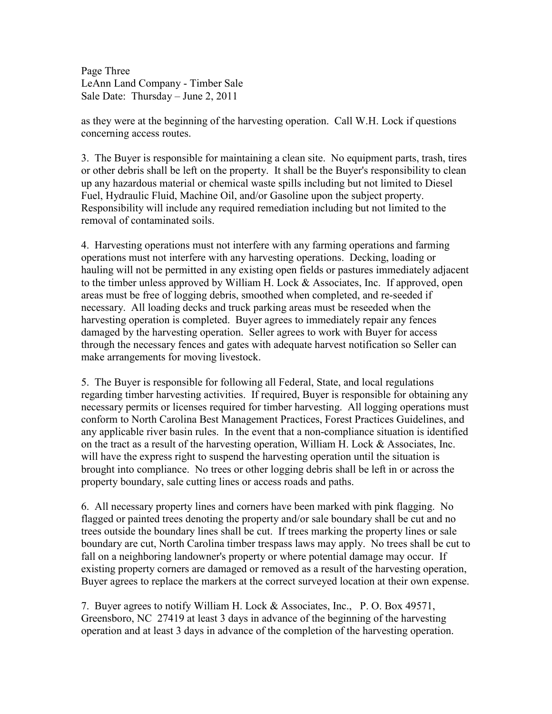Page Three LeAnn Land Company - Timber Sale Sale Date: Thursday – June 2, 2011

as they were at the beginning of the harvesting operation. Call W.H. Lock if questions concerning access routes.

3. The Buyer is responsible for maintaining a clean site. No equipment parts, trash, tires or other debris shall be left on the property. It shall be the Buyer's responsibility to clean up any hazardous material or chemical waste spills including but not limited to Diesel Fuel, Hydraulic Fluid, Machine Oil, and/or Gasoline upon the subject property. Responsibility will include any required remediation including but not limited to the removal of contaminated soils.

4. Harvesting operations must not interfere with any farming operations and farming operations must not interfere with any harvesting operations. Decking, loading or hauling will not be permitted in any existing open fields or pastures immediately adjacent to the timber unless approved by William H. Lock & Associates, Inc. If approved, open areas must be free of logging debris, smoothed when completed, and re-seeded if necessary. All loading decks and truck parking areas must be reseeded when the harvesting operation is completed. Buyer agrees to immediately repair any fences damaged by the harvesting operation. Seller agrees to work with Buyer for access through the necessary fences and gates with adequate harvest notification so Seller can make arrangements for moving livestock.

5. The Buyer is responsible for following all Federal, State, and local regulations regarding timber harvesting activities. If required, Buyer is responsible for obtaining any necessary permits or licenses required for timber harvesting. All logging operations must conform to North Carolina Best Management Practices, Forest Practices Guidelines, and any applicable river basin rules. In the event that a non-compliance situation is identified on the tract as a result of the harvesting operation, William H. Lock & Associates, Inc. will have the express right to suspend the harvesting operation until the situation is brought into compliance. No trees or other logging debris shall be left in or across the property boundary, sale cutting lines or access roads and paths.

6. All necessary property lines and corners have been marked with pink flagging. No flagged or painted trees denoting the property and/or sale boundary shall be cut and no trees outside the boundary lines shall be cut. If trees marking the property lines or sale boundary are cut, North Carolina timber trespass laws may apply. No trees shall be cut to fall on a neighboring landowner's property or where potential damage may occur. If existing property corners are damaged or removed as a result of the harvesting operation, Buyer agrees to replace the markers at the correct surveyed location at their own expense.

7. Buyer agrees to notify William H. Lock & Associates, Inc., P. O. Box 49571, Greensboro, NC 27419 at least 3 days in advance of the beginning of the harvesting operation and at least 3 days in advance of the completion of the harvesting operation.